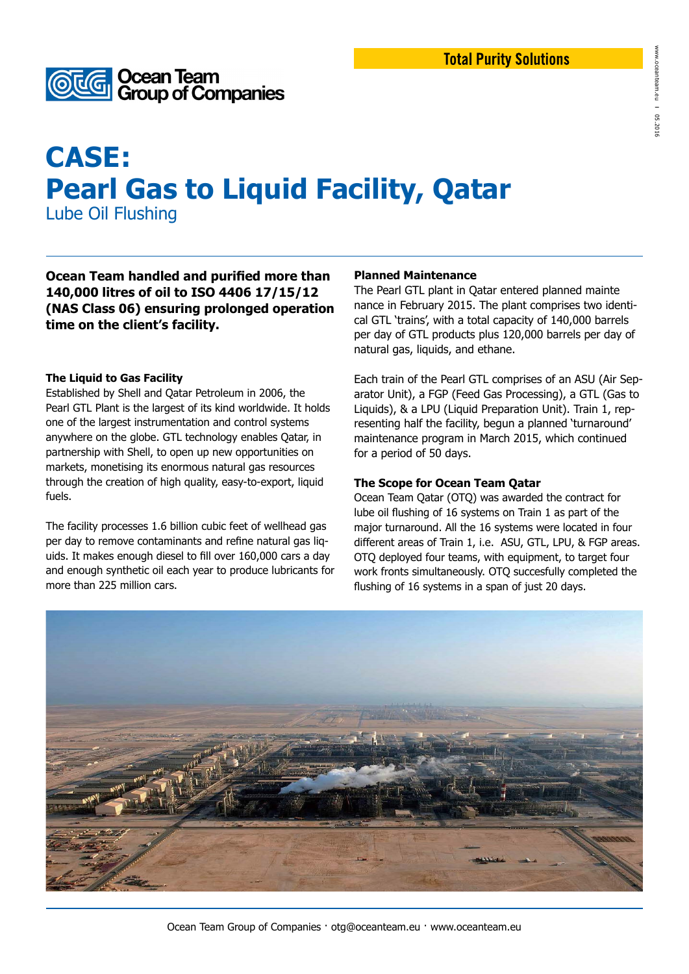

# **CASE: Pearl Gas to Liquid Facility, Qatar**

Lube Oil Flushing

**Ocean Team handled and purified more than 140,000 litres of oil to ISO 4406 17/15/12 (NAS Class 06) ensuring prolonged operation time on the client's facility.** 

### **The Liquid to Gas Facility**

Established by Shell and Qatar Petroleum in 2006, the Pearl GTL Plant is the largest of its kind worldwide. It holds one of the largest instrumentation and control systems anywhere on the globe. GTL technology enables Qatar, in partnership with Shell, to open up new opportunities on markets, monetising its enormous natural gas resources through the creation of high quality, easy-to-export, liquid fuels.

The facility processes 1.6 billion cubic feet of wellhead gas per day to remove contaminants and refine natural gas liquids. It makes enough diesel to fill over 160,000 cars a day and enough synthetic oil each year to produce lubricants for more than 225 million cars.

#### **Planned Maintenance**

The Pearl GTL plant in Qatar entered planned mainte nance in February 2015. The plant comprises two identical GTL 'trains', with a total capacity of 140,000 barrels per day of GTL products plus 120,000 barrels per day of natural gas, liquids, and ethane.

Each train of the Pearl GTL comprises of an ASU (Air Separator Unit), a FGP (Feed Gas Processing), a GTL (Gas to Liquids), & a LPU (Liquid Preparation Unit). Train 1, representing half the facility, begun a planned 'turnaround' maintenance program in March 2015, which continued for a period of 50 days.

### **The Scope for Ocean Team Qatar**

Ocean Team Qatar (OTQ) was awarded the contract for lube oil flushing of 16 systems on Train 1 as part of the major turnaround. All the 16 systems were located in four different areas of Train 1, i.e. ASU, GTL, LPU, & FGP areas. OTQ deployed four teams, with equipment, to target four work fronts simultaneously. OTQ succesfully completed the flushing of 16 systems in a span of just 20 days.



Ocean Team Group of Companies · otg@oceanteam.eu · www.oceanteam.eu